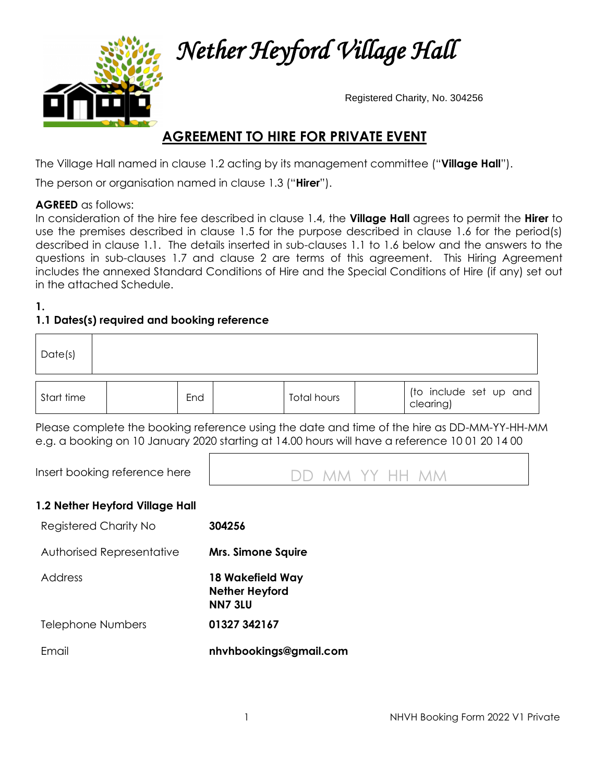

 *Nether Heyford Village Hall* 

Registered Charity, No. 304256

# **AGREEMENT TO HIRE FOR PRIVATE EVENT**

The Village Hall named in clause 1.2 acting by its management committee ("**Village Hall**").

The person or organisation named in clause 1.3 ("**Hirer**").

#### **AGREED** as follows:

In consideration of the hire fee described in clause 1.4, the **Village Hall** agrees to permit the **Hirer** to use the premises described in clause 1.5 for the purpose described in clause 1.6 for the period(s) described in clause 1.1. The details inserted in sub-clauses 1.1 to 1.6 below and the answers to the questions in sub-clauses 1.7 and clause 2 are terms of this agreement. This Hiring Agreement includes the annexed Standard Conditions of Hire and the Special Conditions of Hire (if any) set out in the attached Schedule.

#### **1.**

# **1.1 Dates(s) required and booking reference**

| Date(s)    |     |             |                                     |
|------------|-----|-------------|-------------------------------------|
| Start time | End | Total hours | (to include set up and<br>clearing) |

Please complete the booking reference using the date and time of the hire as DD-MM-YY-HH-MM e.g. a booking on 10 January 2020 starting at 14.00 hours will have a reference 10 01 20 14 00



#### **1.2 Nether Heyford Village Hall**

| <b>Registered Charity No</b> | 304256 |
|------------------------------|--------|
|------------------------------|--------|

Authorised Representative **Mrs. Simone Squire** 

Address **18 Wakefield Way Nether Heyford NN7 3LU** Telephone Numbers **01327 342167**

Email

**nhvhbookings@gmail.com**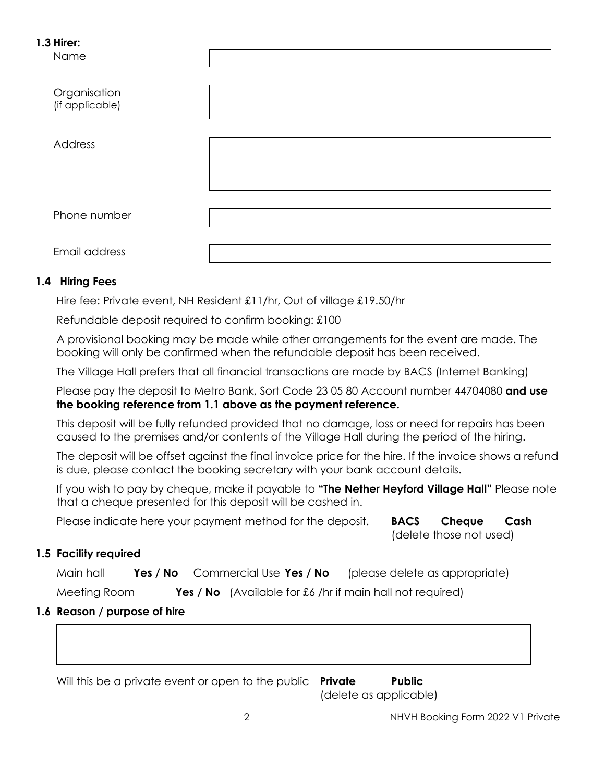#### **1.3 Hirer:**

Name

| Organisation<br>(if applicable) |  |
|---------------------------------|--|
| Address                         |  |
| Phone number                    |  |
| Email address                   |  |

### **1.4 Hiring Fees**

Hire fee: Private event, NH Resident £11/hr, Out of village £19.50/hr

Refundable deposit required to confirm booking: £100

A provisional booking may be made while other arrangements for the event are made. The booking will only be confirmed when the refundable deposit has been received.

The Village Hall prefers that all financial transactions are made by BACS (Internet Banking)

Please pay the deposit to Metro Bank, Sort Code 23 05 80 Account number 44704080 **and use the booking reference from 1.1 above as the payment reference.**

This deposit will be fully refunded provided that no damage, loss or need for repairs has been caused to the premises and/or contents of the Village Hall during the period of the hiring.

The deposit will be offset against the final invoice price for the hire. If the invoice shows a refund is due, please contact the booking secretary with your bank account details.

If you wish to pay by cheque, make it payable to **"The Nether Heyford Village Hall"** Please note that a cheque presented for this deposit will be cashed in.

Please indicate here your payment method for the deposit. **BACS Cheque Cash** 

(delete those not used)

# **1.5 Facility required**

Main hall **Yes / No** Commercial Use **Yes / No** (please delete as appropriate)

Meeting Room **Yes / No** (Available for £6 /hr if main hall not required)

# **1.6 Reason / purpose of hire**

Will this be a private event or open to the public **Private Public**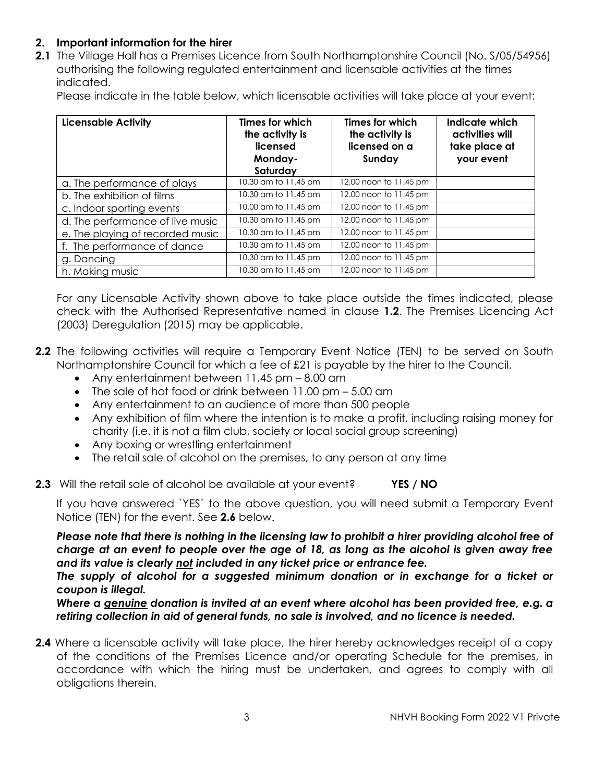#### **2. Important information for the hirer**

**2.1** The Village Hall has a Premises Licence from South Northamptonshire Council (No. S/05/54956) authorising the following regulated entertainment and licensable activities at the times indicated.

Please indicate in the table below, which licensable activities will take place at your event:

| <b>Licensable Activity</b>       | Times for which<br>the activity is<br>licensed<br>Monday-<br>Saturday | <b>Times for which</b><br>the activity is<br>licensed on a<br>Sunday | Indicate which<br>activities will<br>take place at<br>your event |
|----------------------------------|-----------------------------------------------------------------------|----------------------------------------------------------------------|------------------------------------------------------------------|
| a. The performance of plays      | 10.30 am to 11.45 pm                                                  | 12.00 noon to 11.45 pm                                               |                                                                  |
| b. The exhibition of films       | 10.30 am to 11.45 pm                                                  | 12.00 noon to 11.45 pm                                               |                                                                  |
| c. Indoor sporting events        | 10.00 am to 11.45 pm                                                  | 12.00 noon to 11.45 pm                                               |                                                                  |
| d. The performance of live music | 10.30 am to 11.45 pm                                                  | 12.00 noon to 11.45 pm                                               |                                                                  |
| e. The playing of recorded music | 10.30 am to 11.45 pm                                                  | 12.00 noon to 11.45 pm                                               |                                                                  |
| f. The performance of dance      | 10.30 am to 11.45 pm                                                  | 12.00 noon to 11.45 pm                                               |                                                                  |
| g. Dancing                       | 10.30 am to 11.45 pm                                                  | 12.00 noon to 11.45 pm                                               |                                                                  |
| h. Making music                  | 10.30 am to 11.45 pm                                                  | 12.00 noon to 11.45 pm                                               |                                                                  |

For any Licensable Activity shown above to take place outside the times indicated, please check with the Authorised Representative named in clause **1.2**. The Premises Licencing Act (2003) Deregulation (2015) may be applicable.

- **2.2** The following activities will require a Temporary Event Notice (TEN) to be served on South Northamptonshire Council for which a fee of £21 is payable by the hirer to the Council.
	- Any entertainment between 11.45 pm 8.00 am
	- The sale of hot food or drink between 11.00 pm 5.00 am
	- Any entertainment to an audience of more than 500 people
	- Any exhibition of film where the intention is to make a profit, including raising money for charity (i.e. it is not a film club, society or local social group screening)
	- Any boxing or wrestling entertainment
	- The retail sale of alcohol on the premises, to any person at any time
- **2.3** Will the retail sale of alcohol be available at your event? **YES / NO**

If you have answered `YES` to the above question, you will need submit a Temporary Event Notice (TEN) for the event. See **2.6** below.

*Please note that there is nothing in the licensing law to prohibit a hirer providing alcohol free of charge at an event to people over the age of 18, as long as the alcohol is given away free and its value is clearly not included in any ticket price or entrance fee.* 

The supply of alcohol for a suggested minimum donation or in exchange for a ticket or *coupon is illegal.*

*Where a genuine donation is invited at an event where alcohol has been provided free, e.g. a retiring collection in aid of general funds, no sale is involved, and no licence is needed.*

**2.4** Where a licensable activity will take place, the hirer hereby acknowledges receipt of a copy of the conditions of the Premises Licence and/or operating Schedule for the premises, in accordance with which the hiring must be undertaken, and agrees to comply with all obligations therein.